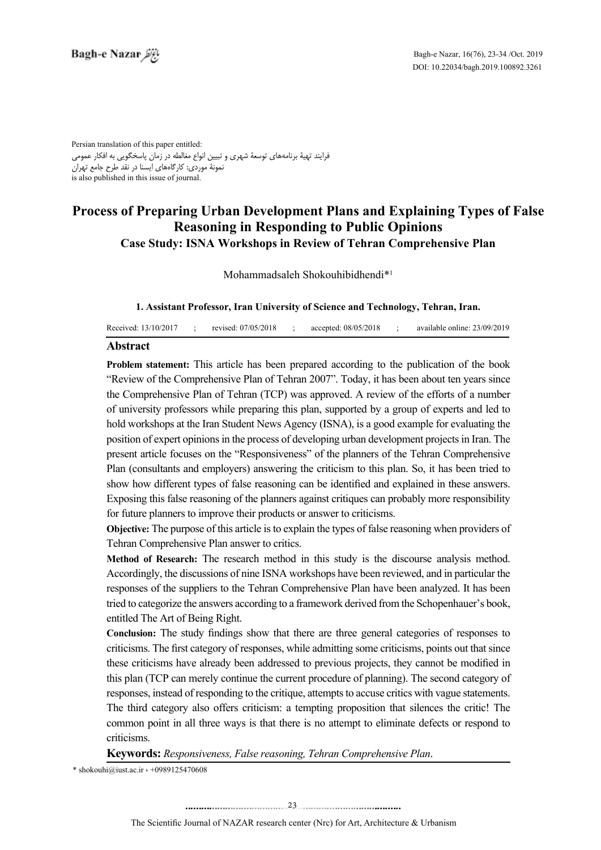Persian translation of this paper entitled: فرایند تهیۀ برنامههای توسعۀ شهری و تبیین انواع مغالطه در زمان پاسخگویی به افکار عمومی نمونۀ موردی: کارگاههای ایسنا در نقد طرح جامع تهران is also published in this issue of journal.

# **Process of Preparing Urban Development Plans and Explaining Types of False Reasoning in Responding to Public Opinions Case Study: ISNA Workshops in Review of Tehran Comprehensive Plan**

Mohammadsaleh Shokouhibidhendi<sup>\*1</sup>

1. Assistant Professor, Iran University of Science and Technology, Tehran, Iran.

| Received: 13/10/2017 |  | revised: 07/05/2018 |  | accepted: 08/05/2018 |  | available online: 23/09/2019 |
|----------------------|--|---------------------|--|----------------------|--|------------------------------|
|----------------------|--|---------------------|--|----------------------|--|------------------------------|

#### **Abstract**

Problem statement: This article has been prepared according to the publication of the book "Review of the Comprehensive Plan of Tehran 2007". Today, it has been about ten years since the Comprehensive Plan of Tehran (TCP) was approved. A review of the efforts of a number of university professors while preparing this plan, supported by a group of experts and led to hold workshops at the Iran Student News Agency (ISNA), is a good example for evaluating the position of expert opinions in the process of developing urban development projects in Iran. The present article focuses on the "Responsiveness" of the planners of the Tehran Comprehensive Plan (consultants and employers) answering the criticism to this plan. So, it has been tried to show how different types of false reasoning can be identified and explained in these answers. Exposing this false reasoning of the planners against critiques can probably more responsibility for future planners to improve their products or answer to criticisms.

Objective: The purpose of this article is to explain the types of false reasoning when providers of Tehran Comprehensive Plan answer to critics.

**Method of Research:** The research method in this study is the discourse analysis method. Accordingly, the discussions of nine ISNA workshops have been reviewed, and in particular the responses of the suppliers to the Tehran Comprehensive Plan have been analyzed. It has been tried to categorize the answers according to a framework derived from the Schopenhauer's book. entitled The Art of Being Right.

Conclusion: The study findings show that there are three general categories of responses to criticisms. The first category of responses, while admitting some criticisms, points out that since these criticisms have already been addressed to previous projects, they cannot be modified in this plan (TCP can merely continue the current procedure of planning). The second category of responses, instead of responding to the critique, attempts to accuse critics with vague statements. The third category also offers criticism: a tempting proposition that silences the critic! The common point in all three ways is that there is no attempt to eliminate defects or respond to .criticisms

Keywords: Responsiveness, False reasoning, Tehran Comprehensive Plan.

 $*$ shokouhi@iust.ac.ir  $\cdot$  +0989125470608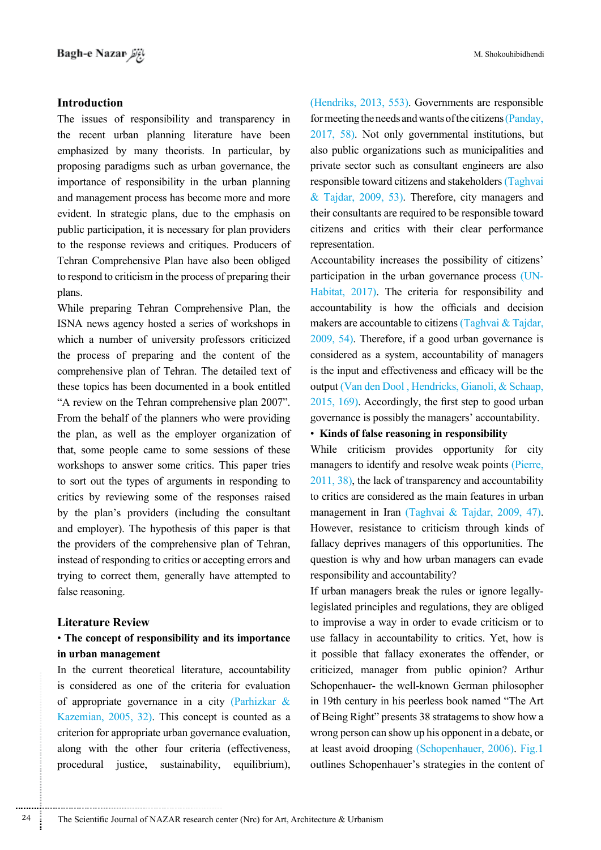# **Introduction**

The issues of responsibility and transparency in the recent urban planning literature have been emphasized by many theorists. In particular, by proposing paradigms such as urban governance, the importance of responsibility in the urban planning and management process has become more and more evident. In strategic plans, due to the emphasis on public participation, it is necessary for plan providers to the response reviews and critiques. Producers of Tehran Comprehensive Plan have also been obliged to respond to criticism in the process of preparing their plans.

While preparing Tehran Comprehensive Plan, the ISNA news agency hosted a series of workshops in which a number of university professors criticized the process of preparing and the content of the comprehensive plan of Tehran. The detailed text of these topics has been documented in a book entitled "A review on the Tehran comprehensive plan 2007". From the behalf of the planners who were providing the plan, as well as the employer organization of that, some people came to some sessions of these workshops to answer some critics. This paper tries to sort out the types of arguments in responding to critics by reviewing some of the responses raised by the plan's providers (including the consultant and employer). The hypothesis of this paper is that the providers of the comprehensive plan of Tehran, instead of responding to critics or accepting errors and trying to correct them, generally have attempted to false reasoning.

#### **Literature** Review

# **• The concept of responsibility and its importance** in urban management

In the current theoretical literature, accountability is considered as one of the criteria for evaluation of appropriate governance in a city (Parhizkar  $\&$ Kazemian,  $2005$ ,  $32$ ). This concept is counted as a criterion for appropriate urban governance evaluation, along with the other four criteria (effectiveness, procedural justice, sustainability, equilibrium),

(Hendriks, 2013, 553). Governments are responsible for meeting the needs and wants of the citizens (Panday,  $2017, 58$ ). Not only governmental institutions, but also public organizations such as municipalities and private sector such as consultant engineers are also responsible toward citizens and stakeholders (Taghvai & Tajdar,  $2009, 53$ ). Therefore, city managers and their consultants are required to be responsible toward citizens and critics with their clear performance .representation

Accountability increases the possibility of citizens' Habitat, 2017). The criteria for responsibility and participation in the urban governance process (UNaccountability is how the officials and decision makers are accountable to citizens (Taghvai  $&$  Tajdar,  $2009, 54$ ). Therefore, if a good urban governance is considered as a system, accountability of managers is the input and effectiveness and efficacy will be the output (Van den Dool, Hendricks, Gianoli, & Schaap,  $2015$ ,  $169$ ). Accordingly, the first step to good urban governance is possibly the managers' accountability.

## • Kinds of false reasoning in responsibility

While criticism provides opportunity for city managers to identify and resolve weak points (Pierre,  $2011, 38$ ), the lack of transparency and accountability to critics are considered as the main features in urban management in Iran (Taghvai & Tajdar, 2009, 47). However, resistance to criticism through kinds of fallacy deprives managers of this opportunities. The question is why and how urban managers can evade responsibility and accountability?

legislated principles and regulations, they are obliged If urban managers break the rules or ignore legallyto improvise a way in order to evade criticism or to use fallacy in accountability to critics. Yet, how is it possible that fallacy exonerates the offender, or criticized, manager from public opinion? Arthur Schopenhauer- the well-known-German philosopher in 19th century in his peerless book named "The Art of Being Right" presents 38 stratagems to show how a wrong person can show up his opponent in a debate, or at least avoid drooping (Schopenhauer,  $2006$ ). Fig.1 outlines Schopenhauer's strategies in the content of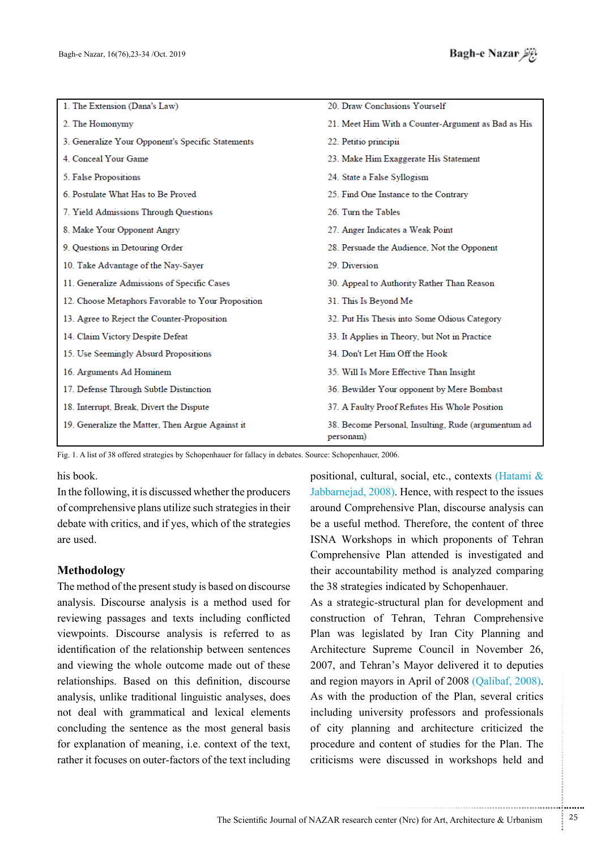| 1. The Extension (Dana's Law)                      | 20. Draw Conclusions Yourself                                    |  |  |  |
|----------------------------------------------------|------------------------------------------------------------------|--|--|--|
| 2. The Homonymy                                    | 21. Meet Him With a Counter-Argument as Bad as His               |  |  |  |
| 3. Generalize Your Opponent's Specific Statements  | 22. Petitio principii                                            |  |  |  |
| 4. Conceal Your Game                               | 23. Make Him Exaggerate His Statement                            |  |  |  |
| 5. False Propositions                              | 24. State a False Syllogism                                      |  |  |  |
| 6. Postulate What Has to Be Proved                 | 25. Find One Instance to the Contrary                            |  |  |  |
| 7. Yield Admissions Through Questions              | 26. Turn the Tables                                              |  |  |  |
| 8. Make Your Opponent Angry                        | 27. Anger Indicates a Weak Point                                 |  |  |  |
| 9. Questions in Detouring Order                    | 28. Persuade the Audience, Not the Opponent                      |  |  |  |
| 10. Take Advantage of the Nay-Sayer                | 29. Diversion                                                    |  |  |  |
| 11. Generalize Admissions of Specific Cases        | 30. Appeal to Authority Rather Than Reason                       |  |  |  |
| 12. Choose Metaphors Favorable to Your Proposition | 31. This Is Beyond Me                                            |  |  |  |
| 13. Agree to Reject the Counter-Proposition        | 32. Put His Thesis into Some Odious Category                     |  |  |  |
| 14. Claim Victory Despite Defeat                   | 33. It Applies in Theory, but Not in Practice                    |  |  |  |
| 15. Use Seemingly Absurd Propositions              | 34. Don't Let Him Off the Hook                                   |  |  |  |
| 16. Arguments Ad Hominem                           | 35. Will Is More Effective Than Insight                          |  |  |  |
| 17. Defense Through Subtle Distinction             | 36. Bewilder Your opponent by Mere Bombast                       |  |  |  |
| 18. Interrupt, Break, Divert the Dispute           | 37. A Faulty Proof Refutes His Whole Position                    |  |  |  |
| 19. Generalize the Matter, Then Argue Against it   | 38. Become Personal, Insulting, Rude (argumentum ad<br>personam) |  |  |  |

Fig. 1. A list of 38 offered strategies by Schopenhauer for fallacy in debates. Source: Schopenhauer, 2006.

his book.

In the following, it is discussed whether the producers of comprehensive plans utilize such strategies in their debate with critics, and if yes, which of the strategies are used

# **Methodology**

The method of the present study is based on discourse analysis. Discourse analysis is a method used for reviewing passages and texts including conflicted viewpoints. Discourse analysis is referred to as identification of the relationship between sentences and viewing the whole outcome made out of these relationships. Based on this definition, discourse analysis, unlike traditional linguistic analyses, does not deal with grammatical and lexical elements concluding the sentence as the most general basis for explanation of meaning, i.e. context of the text, rather it focuses on outer-factors of the text including

positional, cultural, social, etc., contexts (Hatami  $\&$ Jabbarnejad, 2008). Hence, with respect to the issues around Comprehensive Plan, discourse analysis can be a useful method. Therefore, the content of three ISNA Workshops in which proponents of Tehran Comprehensive Plan attended is investigated and their accountability method is analyzed comparing the 38 strategies indicated by Schopenhauer.

As a strategic-structural plan for development and construction of Tehran, Tehran Comprehensive Plan was legislated by Iran City Planning and Architecture Supreme Council in November 26, 2007, and Tehran's Mayor delivered it to deputies and region mayors in April of 2008 (Qalibaf, 2008). As with the production of the Plan, several critics including university professors and professionals of city planning and architecture criticized the procedure and content of studies for the Plan. The criticisms were discussed in workshops held and

.......... ....... ........ ........... ...... ....... ........ .......... ...........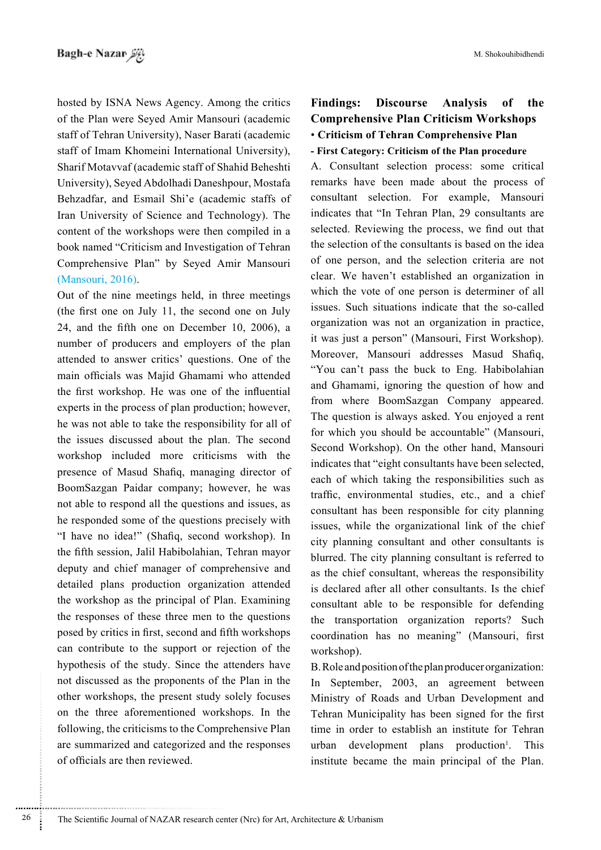hosted by ISNA News Agency. Among the critics of the Plan were Seyed Amir Mansouri (academic staff of Tehran University), Naser Barati (academic staff of Imam Khomeini International University), Sharif Motavvaf (academic staff of Shahid Beheshti University), Seyed Abdolhadi Daneshpour, Mostafa Behzadfar, and Esmail Shi'e (academic staffs of Iran University of Science and Technology). The content of the workshops were then compiled in a book named "Criticism and Investigation of Tehran Comprehensive Plan" by Seyed Amir Mansouri (Mansouri, 2016).

Out of the nine meetings held, in three meetings (the first one on July 11, the second one on July 24, and the fifth one on December 10, 2006), a number of producers and employers of the plan attended to answer critics' questions. One of the main officials was Majid Ghamami who attended the first workshop. He was one of the influential experts in the process of plan production; however, he was not able to take the responsibility for all of the issues discussed about the plan. The second workshop included more criticisms with the presence of Masud Shafiq, managing director of BoomSazgan Paidar company; however, he was not able to respond all the questions and issues, as he responded some of the questions precisely with "I have no idea!" (Shafiq, second workshop). In the fifth session, Jalil Habibolahian, Tehran mayor deputy and chief manager of comprehensive and detailed plans production organization attended the workshop as the principal of Plan. Examining the responses of these three men to the questions posed by critics in first, second and fifth workshops can contribute to the support or rejection of the hypothesis of the study. Since the attenders have not discussed as the proponents of the Plan in the other workshops, the present study solely focuses on the three aforementioned workshops. In the following, the criticisms to the Comprehensive Plan are summarized and categorized and the responses of officials are then reviewed.

# **Findings: Discourse Analysis of the Comprehensive Plan Criticism Workshops • Criticism of Tehran Comprehensive Plan - First Category: Criticism of the Plan procedure**

A. Consultant selection process: some critical remarks have been made about the process of consultant selection. For example, Mansouri indicates that "In Tehran Plan, 29 consultants are selected. Reviewing the process, we find out that the selection of the consultants is based on the idea of one person, and the selection criteria are not clear. We haven't established an organization in which the vote of one person is determiner of all issues. Such situations indicate that the so-called organization was not an organization in practice, it was just a person" (Mansouri, First Workshop). Moreover, Mansouri addresses Masud Shafiq, "You can't pass the buck to Eng. Habibolahian and Ghamami, ignoring the question of how and from where BoomSazgan Company appeared. The question is always asked. You enjoyed a rent for which you should be accountable" (Mansouri, Second Workshop). On the other hand, Mansouri indicates that "eight consultants have been selected, each of which taking the responsibilities such as traffic, environmental studies, etc., and a chief consultant has been responsible for city planning issues, while the organizational link of the chief city planning consultant and other consultants is blurred. The city planning consultant is referred to as the chief consultant, whereas the responsibility is declared after all other consultants. Is the chief consultant able to be responsible for defending the transportation organization reports? Such coordination has no meaning" (Mansouri, first workshop).

B. Role and position of the plan producer organization: In September, 2003, an agreement between Ministry of Roads and Urban Development and Tehran Municipality has been signed for the first time in order to establish an institute for Tehran urban development plans production<sup>1</sup>. This institute became the main principal of the Plan.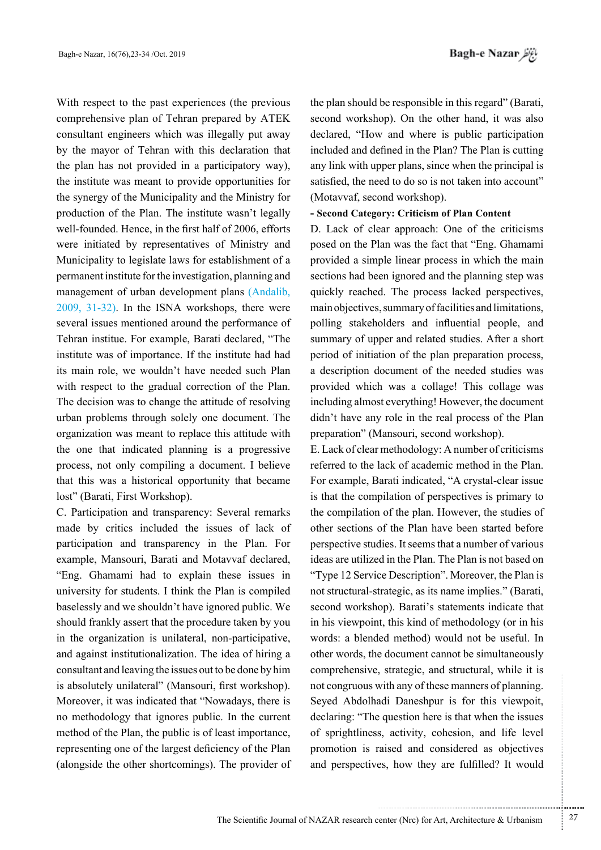With respect to the past experiences (the previous comprehensive plan of Tehran prepared by ATEK consultant engineers which was illegally put away by the mayor of Tehran with this declaration that the plan has not provided in a participatory way). the institute was meant to provide opportunities for the synergy of the Municipality and the Ministry for production of the Plan. The institute wasn't legally well-founded. Hence, in the first half of 2006, efforts were initiated by representatives of Ministry and Municipality to legislate laws for establishment of a permanent institute for the investigation, planning and management of urban development plans (Andalib,  $2009$ ,  $31-32$ ). In the ISNA workshops, there were several issues mentioned around the performance of Tehran institue. For example, Barati declared, "The institute was of importance. If the institute had had its main role, we wouldn't have needed such Plan with respect to the gradual correction of the Plan. The decision was to change the attitude of resolving urban problems through solely one document. The organization was meant to replace this attitude with the one that indicated planning is a progressive process, not only compiling a document. I believe that this was a historical opportunity that became lost" (Barati, First Workshop).

C. Participation and transparency: Several remarks made by critics included the issues of lack of participation and transparency in the Plan. For example, Mansouri, Barati and Motavvaf declared, "Eng. Ghamami had to explain these issues in university for students. I think the Plan is compiled baselessly and we shouldn't have ignored public. We should frankly assert that the procedure taken by you in the organization is unilateral, non-participative, and against institutionalization. The idea of hiring a consultant and leaving the issues out to be done by him is absolutely unilateral" (Mansouri, first workshop). Moreover, it was indicated that "Nowadays, there is no methodology that ignores public. In the current method of the Plan, the public is of least importance, representing one of the largest deficiency of the Plan (alongside the other shortcomings). The provider of the plan should be responsible in this regard" (Barati, second workshop). On the other hand, it was also declared, "How and where is public participation included and defined in the Plan? The Plan is cutting any link with upper plans, since when the principal is satisfied, the need to do so is not taken into account" (Motavvaf, second workshop).

#### - Second Category: Criticism of Plan Content

D. Lack of clear approach: One of the criticisms posed on the Plan was the fact that "Eng. Ghamami provided a simple linear process in which the main sections had been ignored and the planning step was quickly reached. The process lacked perspectives, main objectives, summary of facilities and limitations, polling stakeholders and influential people, and summary of upper and related studies. After a short period of initiation of the plan preparation process, a description document of the needed studies was provided which was a collage! This collage was including almost everything! However, the document didn't have any role in the real process of the Plan preparation" (Mansouri, second workshop).

 $E$ . Lack of clear methodology: A number of criticisms referred to the lack of academic method in the Plan. For example, Barati indicated, "A crystal-clear issue is that the compilation of perspectives is primary to the compilation of the plan. However, the studies of other sections of the Plan have been started before perspective studies. It seems that a number of various ideas are utilized in the Plan. The Plan is not based on "Type 12 Service Description". Moreover, the Plan is not structural-strategic, as its name implies." (Barati, second workshop). Barati's statements indicate that in his viewpoint, this kind of methodology (or in his words: a blended method) would not be useful. In other words, the document cannot be simultaneously comprehensive, strategic, and structural, while it is not congruous with any of these manners of planning. Seyed Abdolhadi Daneshpur is for this viewpoit, declaring: "The question here is that when the issues of sprightliness, activity, cohesion, and life level promotion is raised and considered as objectives and perspectives, how they are fulfilled? It would

...........................................................

.......... ....... ........ ........... ...... ....... ........ .......... ...........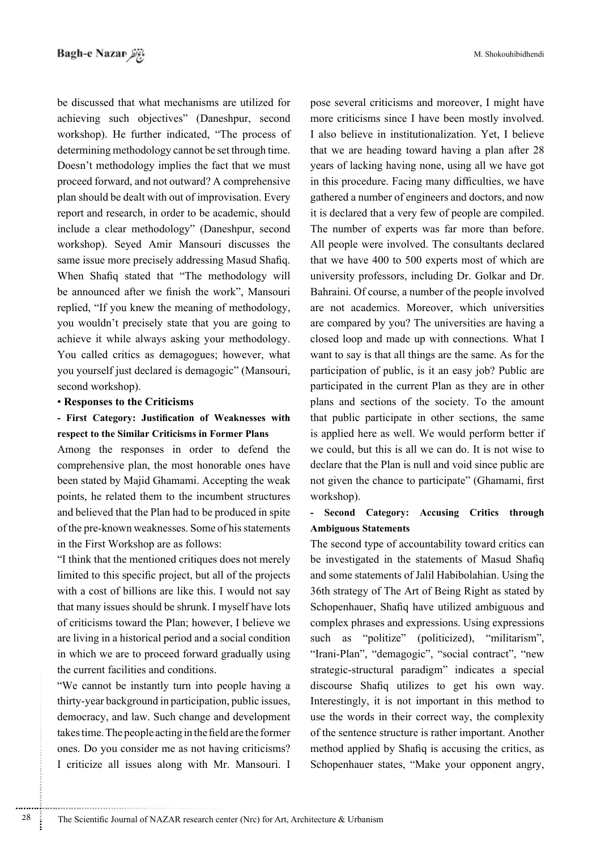M. Shokouhibidhendi

be discussed that what mechanisms are utilized for achieving such objectives" (Daneshpur, second workshop). He further indicated, "The process of determining methodology cannot be set through time. Doesn't methodology implies the fact that we must proceed forward, and not outward? A comprehensive plan should be dealt with out of improvisation. Every report and research, in order to be academic, should include a clear methodology" (Daneshpur, second workshop). Seyed Amir Mansouri discusses the same issue more precisely addressing Masud Shafiq. When Shafiq stated that "The methodology will be announced after we finish the work", Mansouri replied, "If you knew the meaning of methodology, you wouldn't precisely state that you are going to achieve it while always asking your methodology. You called critics as demagogues; however, what vou vourself just declared is demagogic" (Mansouri, second workshop).

### **• Responses to the Criticisms**

# - First Category: Justification of Weaknesses with respect to the Similar Criticisms in Former Plans

Among the responses in order to defend the comprehensive plan, the most honorable ones have been stated by Majid Ghamami. Accepting the weak points, he related them to the incumbent structures and believed that the Plan had to be produced in spite of the pre-known weaknesses. Some of his statements in the First Workshop are as follows:

"I think that the mentioned critiques does not merely limited to this specific project, but all of the projects with a cost of billions are like this. I would not say that many issues should be shrunk. I myself have lots of criticisms toward the Plan; however, I believe we are living in a historical period and a social condition in which we are to proceed forward gradually using the current facilities and conditions.

"We cannot be instantly turn into people having a thirty-year background in participation, public issues, democracy, and law. Such change and development takes time. The people acting in the field are the former ones. Do you consider me as not having criticisms? I criticize all issues along with Mr. Mansouri. I pose several criticisms and moreover, I might have more criticisms since I have been mostly involved. I also believe in institutionalization. Yet, I believe that we are heading toward having a plan after 28 years of lacking having none, using all we have got in this procedure. Facing many difficulties, we have gathered a number of engineers and doctors, and now it is declared that a very few of people are compiled. The number of experts was far more than before. All people were involved. The consultants declared that we have  $400$  to  $500$  experts most of which are university professors, including Dr. Golkar and Dr. Bahraini. Of course, a number of the people involved are not academics. Moreover, which universities are compared by you? The universities are having a closed loop and made up with connections. What I want to say is that all things are the same. As for the participation of public, is it an easy job? Public are participated in the current Plan as they are in other plans and sections of the society. To the amount that public participate in other sections, the same is applied here as well. We would perform better if we could, but this is all we can do. It is not wise to declare that the Plan is null and void since public are not given the chance to participate" (Ghamami, first workshop).

# - Second Category: Accusing Critics through **Statements Ambiguous**

The second type of accountability toward critics can be investigated in the statements of Masud Shafiq and some statements of Jalil Habibolahian. Using the 36th strategy of The Art of Being Right as stated by Schopenhauer, Shafiq have utilized ambiguous and complex phrases and expressions. Using expressions such as "politize" (politicized), "militarism", "Irani-Plan", "demagogic", "social contract", "new strategic-structural paradigm" indicates a special discourse Shafiq utilizes to get his own way. Interestingly, it is not important in this method to use the words in their correct way, the complexity of the sentence structure is rather important. Another method applied by Shafiq is accusing the critics, as Schopenhauer states, "Make your opponent angry,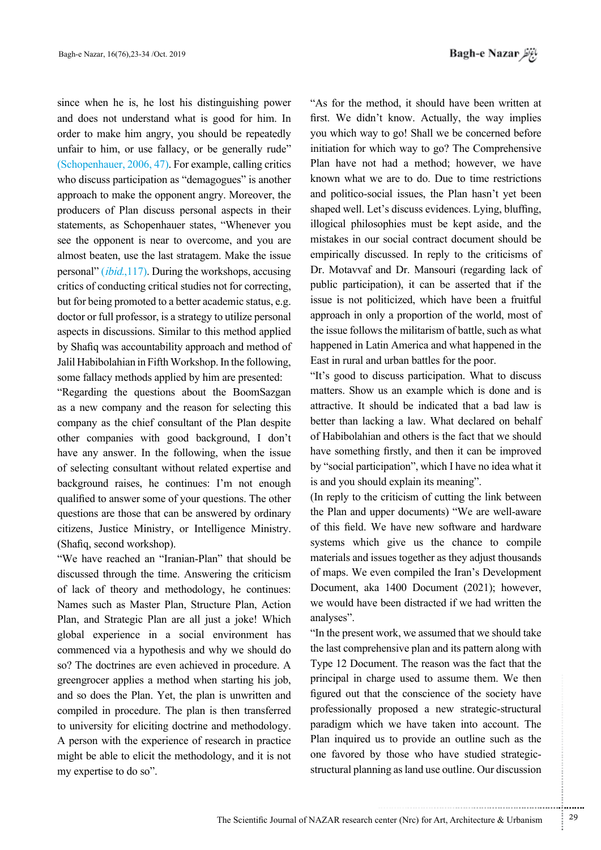since when he is, he lost his distinguishing power and does not understand what is good for him. In order to make him angry, you should be repeatedly unfair to him, or use fallacy, or be generally rude" (Schopenhauer,  $2006, 47$ ). For example, calling critics who discuss participation as "demagogues" is another approach to make the opponent angry. Moreover, the producers of Plan discuss personal aspects in their statements, as Schopenhauer states, "Whenever you see the opponent is near to overcome, and you are almost beaten, use the last stratagem. Make the issue personal" *(ibid.,117)*. During the workshops, accusing critics of conducting critical studies not for correcting. but for being promoted to a better academic status, e.g. doctor or full professor, is a strategy to utilize personal aspects in discussions. Similar to this method applied by Shafiq was accountability approach and method of Jalil Habibolahian in Fifth Workshop. In the following, some fallacy methods applied by him are presented:

"Regarding the questions about the BoomSazgan as a new company and the reason for selecting this company as the chief consultant of the Plan despite other companies with good background. I don't have any answer. In the following, when the issue of selecting consultant without related expertise and background raises, he continues: I'm not enough qualified to answer some of your questions. The other questions are those that can be answered by ordinary citizens, Justice Ministry, or Intelligence Ministry.  $(Shafia, second workshop)$ .

"We have reached an "Iranian-Plan" that should be discussed through the time. Answering the criticism of lack of theory and methodology, he continues: Names such as Master Plan, Structure Plan, Action Plan, and Strategic Plan are all just a joke! Which global experience in a social environment has commenced via a hypothesis and why we should do so? The doctrines are even achieved in procedure. A greengrocer applies a method when starting his job, and so does the Plan. Yet, the plan is unwritten and compiled in procedure. The plan is then transferred to university for eliciting doctrine and methodology. A person with the experience of research in practice might be able to elicit the methodology, and it is not my expertise to do so".

*Viji Bagh-e Nazar* 

"As for the method, it should have been written at first. We didn't know. Actually, the way implies you which way to go! Shall we be concerned before initiation for which way to go? The Comprehensive Plan have not had a method; however, we have known what we are to do. Due to time restrictions and politico-social issues, the Plan hasn't yet been shaped well. Let's discuss evidences. Lying, bluffing, illogical philosophies must be kept aside, and the mistakes in our social contract document should be empirically discussed. In reply to the criticisms of Dr. Motavvaf and Dr. Mansouri (regarding lack of public participation), it can be asserted that if the issue is not politicized, which have been a fruitful approach in only a proportion of the world, most of the issue follows the militarism of battle, such as what happened in Latin America and what happened in the East in rural and urban battles for the poor.

"It's good to discuss participation. What to discuss matters. Show us an example which is done and is attractive. It should be indicated that a bad law is better than lacking a law. What declared on behalf of Habibolahian and others is the fact that we should have something firstly, and then it can be improved by "social participation", which I have no idea what it is and you should explain its meaning".

(In reply to the criticism of cutting the link between) the Plan and upper documents) "We are well-aware of this field. We have new software and hardware systems which give us the chance to compile materials and issues together as they adjust thousands of maps. We even compiled the Iran's Development Document, aka 1400 Document (2021); however, we would have been distracted if we had written the analyses".

"In the present work, we assumed that we should take the last comprehensive plan and its pattern along with Type 12 Document. The reason was the fact that the principal in charge used to assume them. We then figured out that the conscience of the society have professionally proposed a new strategic-structural paradigm which we have taken into account. The Plan inquired us to provide an outline such as the structural planning as land use outline. Our discussion one favored by those who have studied strategic-

.......... ....... ........ ........... ...... ....... ........ .......... ...........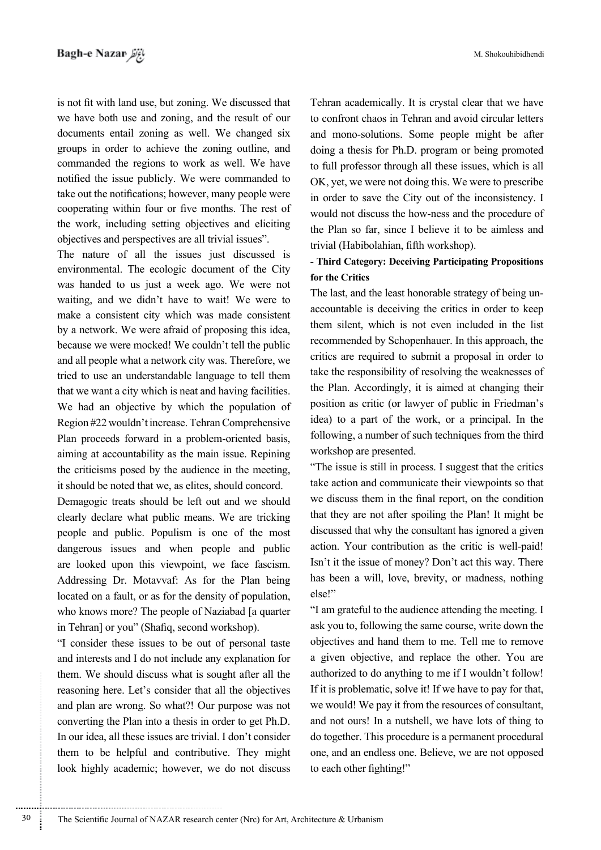is not fit with land use, but zoning. We discussed that we have both use and zoning, and the result of our documents entail zoning as well. We changed six groups in order to achieve the zoning outline, and commanded the regions to work as well. We have notified the issue publicly. We were commanded to take out the notifications; however, many people were cooperating within four or five months. The rest of the work, including setting objectives and eliciting objectives and perspectives are all trivial issues".

The nature of all the issues just discussed is environmental. The ecologic document of the City was handed to us just a week ago. We were not waiting, and we didn't have to wait! We were to make a consistent city which was made consistent by a network. We were afraid of proposing this idea, because we were mocked! We couldn't tell the public and all people what a network city was. Therefore, we tried to use an understandable language to tell them that we want a city which is neat and having facilities. We had an objective by which the population of Region #22 wouldn't increase. Tehran Comprehensive Plan proceeds forward in a problem-oriented basis. aiming at accountability as the main issue. Repining the criticisms posed by the audience in the meeting, it should be noted that we, as elites, should concord.

Demagogic treats should be left out and we should clearly declare what public means. We are tricking people and public. Populism is one of the most dangerous issues and when people and public are looked upon this viewpoint, we face fascism. Addressing Dr. Motavvaf: As for the Plan being located on a fault, or as for the density of population, who knows more? The people of Naziabad [a quarter in Tehran] or you" (Shafiq, second workshop).

"I consider these issues to be out of personal taste and interests and I do not include any explanation for them. We should discuss what is sought after all the reasoning here. Let's consider that all the objectives and plan are wrong. So what?! Our purpose was not converting the Plan into a thesis in order to get Ph.D. In our idea, all these issues are trivial. I don't consider them to be helpful and contributive. They might look highly academic; however, we do not discuss

Tehran academically. It is crystal clear that we have to confront chaos in Tehran and avoid circular letters and mono-solutions. Some people might be after doing a thesis for Ph.D. program or being promoted to full professor through all these issues, which is all OK, yet, we were not doing this. We were to prescribe in order to save the City out of the inconsistency. I would not discuss the how-ness and the procedure of the Plan so far, since I believe it to be aimless and trivial (Habibolahian, fifth workshop).

# **- Third Category: Deceiving Participating Propositions** for the Critics

accountable is deceiving the critics in order to keep The last, and the least honorable strategy of being unthem silent, which is not even included in the list recommended by Schopenhauer. In this approach, the critics are required to submit a proposal in order to take the responsibility of resolving the weaknesses of the Plan. Accordingly, it is aimed at changing their position as critic (or lawyer of public in Friedman's idea) to a part of the work, or a principal. In the following, a number of such techniques from the third workshop are presented.

"The issue is still in process. I suggest that the critics take action and communicate their viewpoints so that we discuss them in the final report, on the condition that they are not after spoiling the Plan! It might be discussed that why the consultant has ignored a given action. Your contribution as the critic is well-paid! Isn't it the issue of money? Don't act this way. There has been a will, love, brevity, or madness, nothing else!"

If am grateful to the audience attending the meeting. I ask you to, following the same course, write down the objectives and hand them to me. Tell me to remove a given objective, and replace the other. You are authorized to do anything to me if I wouldn't follow! If it is problematic, solve it! If we have to pay for that, we would! We pay it from the resources of consultant, and not ours! In a nutshell, we have lots of thing to do together. This procedure is a permanent procedural one, and an endless one. Believe, we are not opposed to each other fighting!"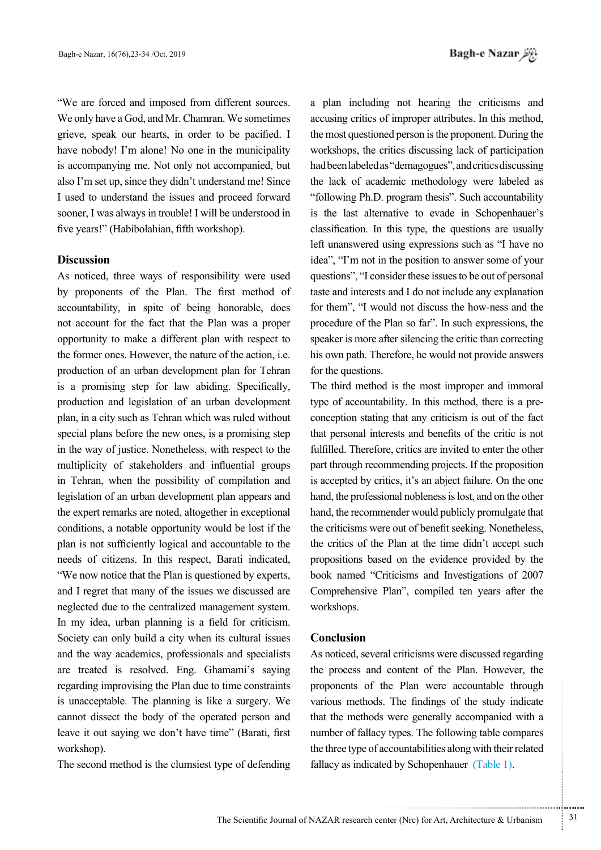"We are forced and imposed from different sources. We only have a God, and Mr. Chamran. We sometimes grieve, speak our hearts, in order to be pacified. I have nobody! I'm alone! No one in the municipality is accompanying me. Not only not accompanied, but also I'm set up, since they didn't understand me! Since I used to understand the issues and proceed forward sooner, I was always in trouble! I will be understood in five years!" (Habibolahian, fifth workshop).

### **Discussion**

As noticed, three ways of responsibility were used by proponents of the Plan. The first method of accountability, in spite of being honorable, does not account for the fact that the Plan was a proper opportunity to make a different plan with respect to the former ones. However, the nature of the action, i.e. production of an urban development plan for Tehran is a promising step for law abiding. Specifically, production and legislation of an urban development plan, in a city such as Tehran which was ruled without special plans before the new ones, is a promising step in the way of justice. Nonetheless, with respect to the multiplicity of stakeholders and influential groups in Tehran, when the possibility of compilation and legislation of an urban development plan appears and the expert remarks are noted, altogether in exceptional conditions, a notable opportunity would be lost if the plan is not sufficiently logical and accountable to the needs of citizens. In this respect, Barati indicated, "We now notice that the Plan is questioned by experts. and I regret that many of the issues we discussed are neglected due to the centralized management system. In my idea, urban planning is a field for criticism. Society can only build a city when its cultural issues and the way academics, professionals and specialists are treated is resolved. Eng. Ghamami's saying regarding improvising the Plan due to time constraints is unacceptable. The planning is like a surgery. We cannot dissect the body of the operated person and leave it out saying we don't have time" (Barati, first workshop).

The second method is the clumsiest type of defending

a plan including not hearing the criticisms and accusing critics of improper attributes. In this method, the most questioned person is the proponent. During the workshops, the critics discussing lack of participation had been labeled as "demagogues", and critics discussing the lack of academic methodology were labeled as "following Ph.D. program thesis". Such accountability is the last alternative to evade in Schopenhauer's classification. In this type, the questions are usually left unanswered using expressions such as "I have no idea", "I'm not in the position to answer some of your questions", "I consider these issues to be out of personal taste and interests and I do not include any explanation for them". "I would not discuss the how-ness and the procedure of the Plan so far". In such expressions, the speaker is more after silencing the critic than correcting his own path. Therefore, he would not provide answers for the questions.

The third method is the most improper and immoral conception stating that any criticism is out of the fact type of accountability. In this method, there is a prethat personal interests and benefits of the critic is not fulfilled. Therefore, critics are invited to enter the other part through recommending projects. If the proposition is accepted by critics, it's an abject failure. On the one hand, the professional nobleness is lost, and on the other hand, the recommender would publicly promulgate that the criticisms were out of benefit seeking. Nonetheless, the critics of the Plan at the time didn't accept such propositions based on the evidence provided by the book named "Criticisms and Investigations of 2007 Comprehensive Plan", compiled ten years after the .workshops

# **Conclusion**

As noticed, several criticisms were discussed regarding the process and content of the Plan. However, the proponents of the Plan were accountable through various methods. The findings of the study indicate that the methods were generally accompanied with a number of fallacy types. The following table compares the three type of accountabilities along with their related fallacy as indicated by Schopenhauer (Table 1).

.......... ....... ........ ........... ...... ....... ........ .......... ...........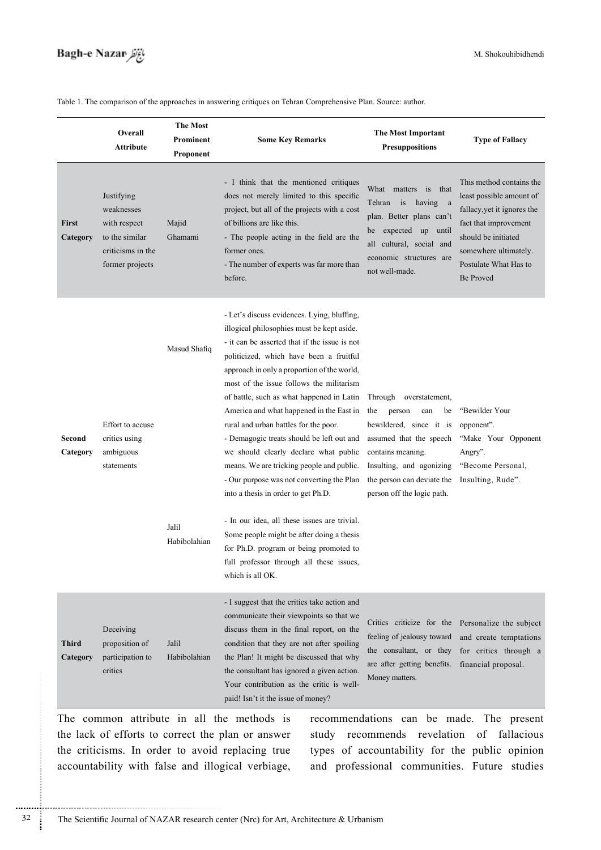# *Bagh-e Nazar بابنانظر*

Table 1. The comparison of the approaches in answering critiques on Tehran Comprehensive Plan. Source: author.

|                          | Overall<br>Attribute                                                                               | <b>The Most</b><br>Prominent<br>Proponent | <b>Some Key Remarks</b>                                                                                                                                                                                                                                                                                                                                                                                                                                                                                                                                                                                                                                                                                                                                                                                                                          | <b>The Most Important</b><br><b>Presuppositions</b>                                                                                                                                                                     | <b>Type of Fallacy</b>                                                                                                                                                                                    |
|--------------------------|----------------------------------------------------------------------------------------------------|-------------------------------------------|--------------------------------------------------------------------------------------------------------------------------------------------------------------------------------------------------------------------------------------------------------------------------------------------------------------------------------------------------------------------------------------------------------------------------------------------------------------------------------------------------------------------------------------------------------------------------------------------------------------------------------------------------------------------------------------------------------------------------------------------------------------------------------------------------------------------------------------------------|-------------------------------------------------------------------------------------------------------------------------------------------------------------------------------------------------------------------------|-----------------------------------------------------------------------------------------------------------------------------------------------------------------------------------------------------------|
| <b>First</b><br>Category | Justifying<br>weaknesses<br>with respect<br>to the similar<br>criticisms in the<br>former projects | Majid<br>Ghamami                          | - I think that the mentioned critiques<br>does not merely limited to this specific<br>project, but all of the projects with a cost<br>of billions are like this.<br>- The people acting in the field are the<br>former ones.<br>- The number of experts was far more than<br>before.                                                                                                                                                                                                                                                                                                                                                                                                                                                                                                                                                             | What matters<br>is<br>that<br>is<br>Tehran<br>having a<br>plan. Better plans can't<br>be expected up until<br>all cultural, social and<br>economic structures are<br>not well-made.                                     | This method contains the<br>least possible amount of<br>fallacy, yet it ignores the<br>fact that improvement<br>should be initiated<br>somewhere ultimately.<br>Postulate What Has to<br><b>Be Proved</b> |
| Second<br>Category       | Effort to accuse<br>critics using<br>ambiguous<br>statements                                       | Masud Shafiq<br>Jalil<br>Habibolahian     | - Let's discuss evidences. Lying, bluffing,<br>illogical philosophies must be kept aside.<br>- it can be asserted that if the issue is not<br>politicized, which have been a fruitful<br>approach in only a proportion of the world,<br>most of the issue follows the militarism<br>of battle, such as what happened in Latin<br>America and what happened in the East in<br>rural and urban battles for the poor.<br>- Demagogic treats should be left out and<br>we should clearly declare what public<br>means. We are tricking people and public.<br>- Our purpose was not converting the Plan<br>into a thesis in order to get Ph.D.<br>- In our idea, all these issues are trivial.<br>Some people might be after doing a thesis<br>for Ph.D. program or being promoted to<br>full professor through all these issues,<br>which is all OK. | Through overstatement,<br>the<br>person<br>can<br>be<br>bewildered, since it is<br>assumed that the speech<br>contains meaning.<br>Insulting, and agonizing<br>the person can deviate the<br>person off the logic path. | "Bewilder Your<br>opponent".<br>"Make Your Opponent<br>Angry".<br>"Become Personal,<br>Insulting, Rude".                                                                                                  |
| <b>Third</b><br>Category | Deceiving<br>proposition of<br>participation to<br>critics                                         | Jalil<br>Habibolahian                     | - I suggest that the critics take action and<br>communicate their viewpoints so that we<br>discuss them in the final report, on the<br>condition that they are not after spoiling<br>the Plan! It might be discussed that why<br>the consultant has ignored a given action.<br>Your contribution as the critic is well-<br>paid! Isn't it the issue of money?                                                                                                                                                                                                                                                                                                                                                                                                                                                                                    | Critics criticize for the Personalize the subject<br>feeling of jealousy toward<br>the consultant, or they<br>are after getting benefits.<br>Money matters.                                                             | and create temptations<br>for critics through a<br>financial proposal.                                                                                                                                    |

The common attribute in all the methods is the lack of efforts to correct the plan or answer the criticisms. In order to avoid replacing true accountability with false and illogical verbiage,

............................................................

recommendations can be made. The present study recommends revelation of fallacious types of accountability for the public opinion and professional communities. Future studies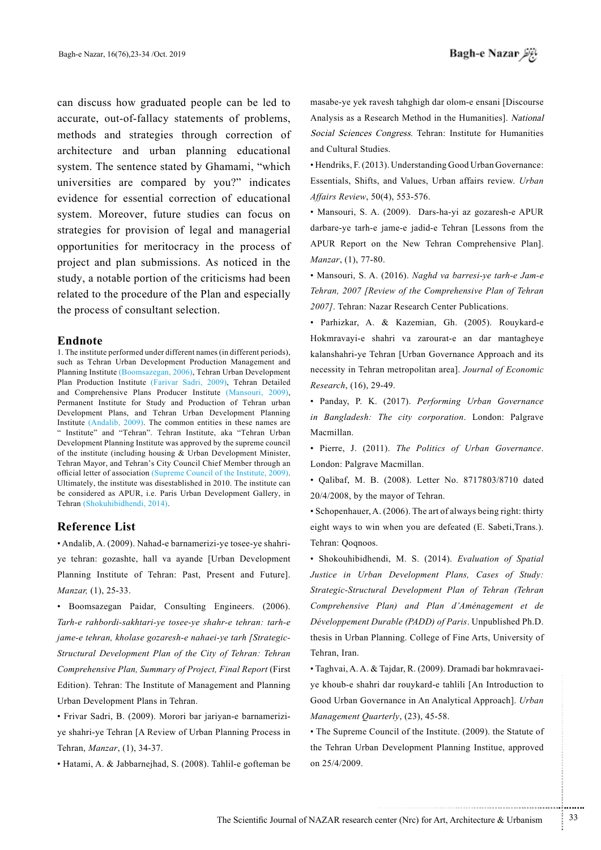can discuss how graduated people can be led to accurate, out-of-fallacy statements of problems, methods and strategies through correction of architecture and urban planning educational system. The sentence stated by Ghamami, "which universities are compared by you?" indicates evidence for essential correction of educational system. Moreover, future studies can focus on strategies for provision of legal and managerial opportunities for meritocracy in the process of project and plan submissions. As noticed in the study, a notable portion of the criticisms had been related to the procedure of the Plan and especially the process of consultant selection.

#### **Endnote**

1. The institute performed under different names (in different periods), such as Tehran Urban Development Production Management and Planning Institute (Boomsazegan, 2006), Tehran Urban Development Plan Production Institute (Farivar Sadri, 2009), Tehran Detailed and Comprehensive Plans Producer Institute (Mansouri, 2009), Permanent Institute for Study and Production of Tehran urban Development Plans, and Tehran Urban Development Planning Institute (Andalib, 2009). The common entities in these names are " Institute" and "Tehran". Tehran Institute, aka "Tehran Urban Development Planning Institute was approved by the supreme council of the institute (including housing  $&$  Urban Development Minister, Tehran Mayor, and Tehran's City Council Chief Member through an official letter of association (Supreme Council of the Institute, 2009). Ultimately, the institute was disestablished in 2010. The institute can be considered as APUR, i.e. Paris Urban Development Gallery, in Tehran (Shokuhibidhendi, 2014).

### **Reference** List

ye tehran: gozashte, hall va ayande [Urban Development • Andalib, A. (2009). Nahad-e barnamerizi-ye tosee-ye shahri-Planning Institute of Tehran: Past, Present and Future]. Manzar, (1), 25-33.

• Boomsazegan Paidar, Consulting Engineers. (2006). *Tarh-e rahbordi-sakhtari-ye tosee-ye shahr-e tehran: tarh-e Structural Development Plan of the City of Tehran: Tehran* jame-e tehran, kholase gozaresh-e nahaei-ye tarh [Strategic-Comprehensive Plan, Summary of Project, Final Report (First Edition). Tehran: The Institute of Management and Planning Urban Development Plans in Tehran.

ye shahri-ye Tehran [A Review of Urban Planning Process in • Frivar Sadri, B. (2009). Morori bar jariyan e barnamerizi-Tehran, *Manzar*, (1), 34-37.

• Hatami, A. & Jabbarnejhad, S. (2008). Tahlil-e gofteman be

masabe-ye yek ravesh tahghigh dar olom-e ensani [Discourse Analysis as a Research Method in the Humanities]. National Social Sciences Congress. Tehran: Institute for Humanities and Cultural Studies.

• Hendriks, F. (2013). Understanding Good Urban Governance: Essentials, Shifts, and Values, Urban affairs review. Urban Affairs Review, 50(4), 553-576.

• Mansouri, S. A. (2009). Dars-ha-yi az gozaresh-e APUR darbare-ye tarh-e jame-e jadid-e Tehran [Lessons from the APUR Report on the New Tehran Comprehensive Plan]. Manzar, (1), 77-80.

• Mansouri, S. A. (2016). *Naghd va barresi-ye tarh-e Jam-e Tehran, 2007 [Review of the Comprehensive Plan of Tehran* 2007]. Tehran: Nazar Research Center Publications.

· Parhizkar, A. & Kazemian, Gh. (2005). Rouykard-e Hokmravayi-e shahri va zarourat-e an dar mantagheye kalanshahri-ye Tehran [Urban Governance Approach and its necessity in Tehran metropolitan area]. Journal of Economic 29-49. ,(16) ,*Research*

• Panday, P. K. (2017). Performing Urban Governance in Bangladesh: The city corporation. London: Palgrave Macmillan.

• Pierre, J. (2011). The Politics of Urban Governance. London: Palgrave Macmillan.

• Qalibaf, M. B. (2008). Letter No. 8717803/8710 dated  $20/4/2008$ , by the mayor of Tehran.

• Schopenhauer, A. (2006). The art of always being right: thirty eight ways to win when you are defeated (E. Sabeti, Trans.). Tehran: Qoqnoos.

• Shokouhibidhendi, M. S. (2014). Evaluation of Spatial Justice in Urban Development Plans, Cases of Study:  *Tehran (Tehran of Plan Development Structural-Strategic Comprehensive Plan) and Plan d'Aménagement et de* Développement Durable (PADD) of Paris. Unpublished Ph.D. thesis in Urban Planning. College of Fine Arts, University of Tehran, Iran.

ye khoub-e shahri dar rouykard-e tahlili [An Introduction to • Taghvai, A. A. & Tajdar, R. (2009). Dramadi bar hokmravaei-Good Urban Governance in An Analytical Approach]. *Urban* Management Quarterly, (23), 45-58.

• The Supreme Council of the Institute. (2009). the Statute of the Tehran Urban Development Planning Institue, approved on 25/4/2009.

.......... ....... ........ ........... ...... ....... ........ .......... ...........